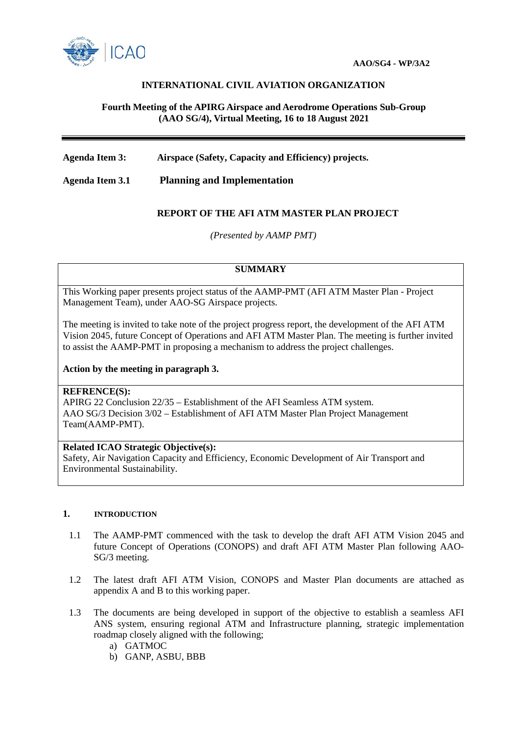

# **INTERNATIONAL CIVIL AVIATION ORGANIZATION**

## **Fourth Meeting of the APIRG Airspace and Aerodrome Operations Sub-Group (AAO SG/4), Virtual Meeting, 16 to 18 August 2021**

**Agenda Item 3: Airspace (Safety, Capacity and Efficiency) projects.**

**Agenda Item 3.1 Planning and Implementation** 

# **REPORT OF THE AFI ATM MASTER PLAN PROJECT**

*(Presented by AAMP PMT)*

#### **SUMMARY**

This Working paper presents project status of the AAMP-PMT (AFI ATM Master Plan - Project Management Team), under AAO-SG Airspace projects.

The meeting is invited to take note of the project progress report, the development of the AFI ATM Vision 2045, future Concept of Operations and AFI ATM Master Plan. The meeting is further invited to assist the AAMP-PMT in proposing a mechanism to address the project challenges.

#### **Action by the meeting in paragraph 3.**

### **REFRENCE(S):**

APIRG 22 Conclusion 22/35 – Establishment of the AFI Seamless ATM system. AAO SG/3 Decision 3/02 – Establishment of AFI ATM Master Plan Project Management Team(AAMP-PMT).

### **Related ICAO Strategic Objective(s):**

Safety, Air Navigation Capacity and Efficiency, Economic Development of Air Transport and Environmental Sustainability.

## **1. INTRODUCTION**

- 1.1 The AAMP-PMT commenced with the task to develop the draft AFI ATM Vision 2045 and future Concept of Operations (CONOPS) and draft AFI ATM Master Plan following AAO-SG/3 meeting.
- 1.2 The latest draft AFI ATM Vision, CONOPS and Master Plan documents are attached as appendix A and B to this working paper.
- 1.3 The documents are being developed in support of the objective to establish a seamless AFI ANS system, ensuring regional ATM and Infrastructure planning, strategic implementation roadmap closely aligned with the following;
	- a) GATMOC
	- b) GANP, ASBU, BBB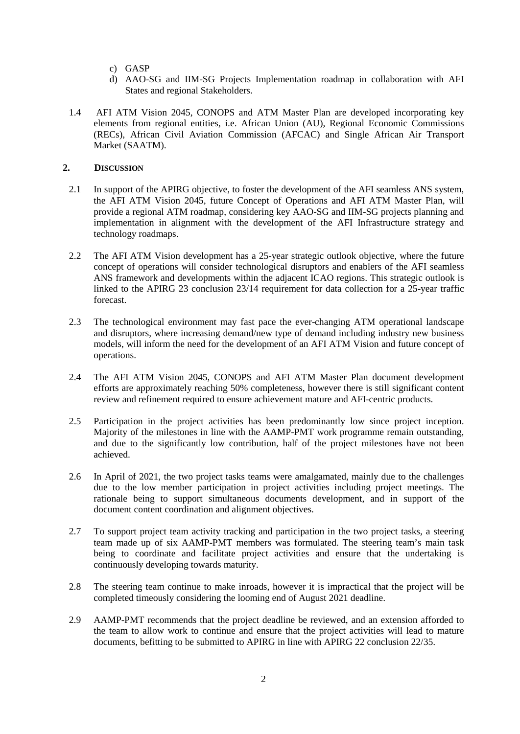- c) GASP
- d) AAO-SG and IIM-SG Projects Implementation roadmap in collaboration with AFI States and regional Stakeholders.
- 1.4 AFI ATM Vision 2045, CONOPS and ATM Master Plan are developed incorporating key elements from regional entities, i.e. African Union (AU), Regional Economic Commissions (RECs), African Civil Aviation Commission (AFCAC) and Single African Air Transport Market (SAATM).

## **2. DISCUSSION**

- 2.1 In support of the APIRG objective, to foster the development of the AFI seamless ANS system, the AFI ATM Vision 2045, future Concept of Operations and AFI ATM Master Plan, will provide a regional ATM roadmap, considering key AAO-SG and IIM-SG projects planning and implementation in alignment with the development of the AFI Infrastructure strategy and technology roadmaps.
- 2.2 The AFI ATM Vision development has a 25-year strategic outlook objective, where the future concept of operations will consider technological disruptors and enablers of the AFI seamless ANS framework and developments within the adjacent ICAO regions. This strategic outlook is linked to the APIRG 23 conclusion 23/14 requirement for data collection for a 25-year traffic forecast.
- 2.3 The technological environment may fast pace the ever-changing ATM operational landscape and disruptors, where increasing demand/new type of demand including industry new business models, will inform the need for the development of an AFI ATM Vision and future concept of operations.
- 2.4 The AFI ATM Vision 2045, CONOPS and AFI ATM Master Plan document development efforts are approximately reaching 50% completeness, however there is still significant content review and refinement required to ensure achievement mature and AFI-centric products.
- 2.5 Participation in the project activities has been predominantly low since project inception. Majority of the milestones in line with the AAMP-PMT work programme remain outstanding, and due to the significantly low contribution, half of the project milestones have not been achieved.
- 2.6 In April of 2021, the two project tasks teams were amalgamated, mainly due to the challenges due to the low member participation in project activities including project meetings. The rationale being to support simultaneous documents development, and in support of the document content coordination and alignment objectives.
- 2.7 To support project team activity tracking and participation in the two project tasks, a steering team made up of six AAMP-PMT members was formulated. The steering team's main task being to coordinate and facilitate project activities and ensure that the undertaking is continuously developing towards maturity.
- 2.8 The steering team continue to make inroads, however it is impractical that the project will be completed timeously considering the looming end of August 2021 deadline.
- 2.9 AAMP-PMT recommends that the project deadline be reviewed, and an extension afforded to the team to allow work to continue and ensure that the project activities will lead to mature documents, befitting to be submitted to APIRG in line with APIRG 22 conclusion 22/35.